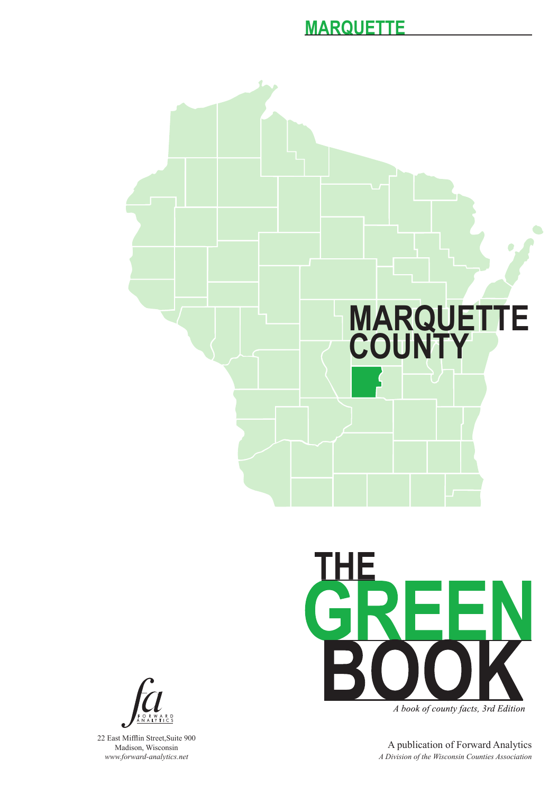



A book of county facts, 3rd Edition

A publication of Forward Analytics *A Division of the Wisconsin Counties Association*



22 East Mifflin Street,Suite 900 Madison, Wisconsin *www.forward-analytics.net*